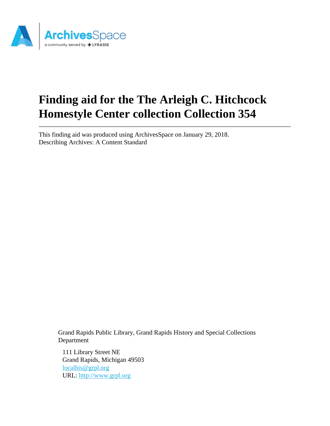

# **Finding aid for the The Arleigh C. Hitchcock Homestyle Center collection Collection 354**

This finding aid was produced using ArchivesSpace on January 29, 2018. Describing Archives: A Content Standard

> Grand Rapids Public Library, Grand Rapids History and Special Collections Department

111 Library Street NE Grand Rapids, Michigan 49503 [localhis@grpl.org](mailto:localhis@grpl.org) URL:<http://www.grpl.org>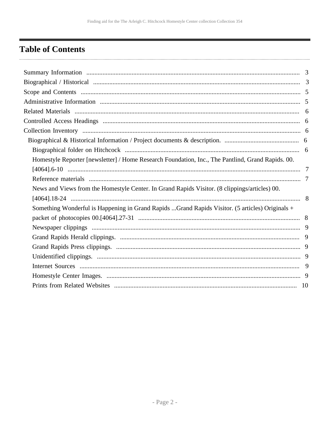# <span id="page-1-0"></span>**Table of Contents**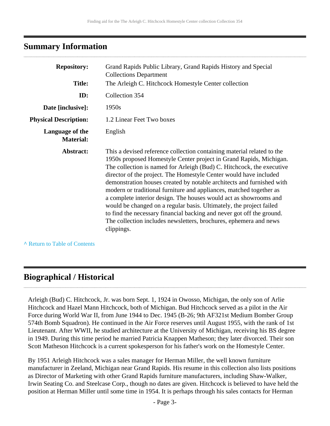#### <span id="page-2-0"></span>**Summary Information**

| <b>Repository:</b>                  | Grand Rapids Public Library, Grand Rapids History and Special<br><b>Collections Department</b>                                                                                                                                                                                                                                                                                                                                                                                                                                                                                                                                                                                                                                                     |
|-------------------------------------|----------------------------------------------------------------------------------------------------------------------------------------------------------------------------------------------------------------------------------------------------------------------------------------------------------------------------------------------------------------------------------------------------------------------------------------------------------------------------------------------------------------------------------------------------------------------------------------------------------------------------------------------------------------------------------------------------------------------------------------------------|
| <b>Title:</b>                       | The Arleigh C. Hitchcock Homestyle Center collection                                                                                                                                                                                                                                                                                                                                                                                                                                                                                                                                                                                                                                                                                               |
| ID:                                 | Collection 354                                                                                                                                                                                                                                                                                                                                                                                                                                                                                                                                                                                                                                                                                                                                     |
| Date [inclusive]:                   | 1950s                                                                                                                                                                                                                                                                                                                                                                                                                                                                                                                                                                                                                                                                                                                                              |
| <b>Physical Description:</b>        | 1.2 Linear Feet Two boxes                                                                                                                                                                                                                                                                                                                                                                                                                                                                                                                                                                                                                                                                                                                          |
| Language of the<br><b>Material:</b> | English                                                                                                                                                                                                                                                                                                                                                                                                                                                                                                                                                                                                                                                                                                                                            |
| Abstract:                           | This a devised reference collection containing material related to the<br>1950s proposed Homestyle Center project in Grand Rapids, Michigan.<br>The collection is named for Arleigh (Bud) C. Hitchcock, the executive<br>director of the project. The Homestyle Center would have included<br>demonstration houses created by notable architects and furnished with<br>modern or traditional furniture and appliances, matched together as<br>a complete interior design. The houses would act as showrooms and<br>would be changed on a regular basis. Ultimately, the project failed<br>to find the necessary financial backing and never got off the ground.<br>The collection includes newsletters, brochures, ephemera and news<br>clippings. |

**^** [Return to Table of Contents](#page-1-0)

#### <span id="page-2-1"></span>**Biographical / Historical**

Arleigh (Bud) C. Hitchcock, Jr. was born Sept. 1, 1924 in Owosso, Michigan, the only son of Arlie Hitchcock and Hazel Mann Hitchcock, both of Michigan. Bud Hitchcock served as a pilot in the Air Force during World War II, from June 1944 to Dec. 1945 (B-26; 9th AF321st Medium Bomber Group 574th Bomb Squadron). He continued in the Air Force reserves until August 1955, with the rank of 1st Lieutenant. After WWII, he studied architecture at the University of Michigan, receiving his BS degree in 1949. During this time period he married Patricia Knappen Matheson; they later divorced. Their son Scott Matheson Hitchcock is a current spokesperson for his father's work on the Homestyle Center.

By 1951 Arleigh Hitchcock was a sales manager for Herman Miller, the well known furniture manufacturer in Zeeland, Michigan near Grand Rapids. His resume in this collection also lists positions as Director of Marketing with other Grand Rapids furniture manufacturers, including Shaw-Walker, Irwin Seating Co. and Steelcase Corp., though no dates are given. Hitchcock is believed to have held the position at Herman Miller until some time in 1954. It is perhaps through his sales contacts for Herman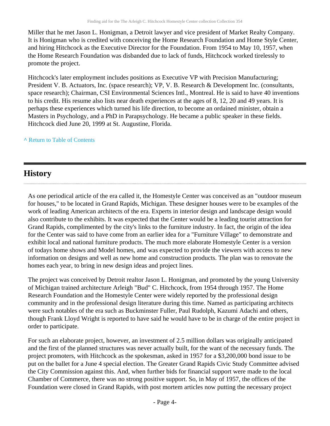Miller that he met Jason L. Honigman, a Detroit lawyer and vice president of Market Realty Company. It is Honigman who is credited with conceiving the Home Research Foundation and Home Style Center, and hiring Hitchcock as the Executive Director for the Foundation. From 1954 to May 10, 1957, when the Home Research Foundation was disbanded due to lack of funds, Hitchcock worked tirelessly to promote the project.

Hitchcock's later employment includes positions as Executive VP with Precision Manufacturing; President V. B. Actuators, Inc. (space research); VP, V. B. Research & Development Inc. (consultants, space research); Chairman, CSI Environmental Sciences Intl., Montreal. He is said to have 40 inventions to his credit. His resume also lists near death experiences at the ages of 8, 12, 20 and 49 years. It is perhaps these experiences which turned his life direction, to become an ordained minister, obtain a Masters in Psychology, and a PhD in Parapsychology. He became a public speaker in these fields. Hitchcock died June 20, 1999 at St. Augustine, Florida.

#### **^** [Return to Table of Contents](#page-1-0)

### **History**

As one periodical article of the era called it, the Homestyle Center was conceived as an "outdoor museum for houses," to be located in Grand Rapids, Michigan. These designer houses were to be examples of the work of leading American architects of the era. Experts in interior design and landscape design would also contribute to the exhibits. It was expected that the Center would be a leading tourist attraction for Grand Rapids, complimented by the city's links to the furniture industry. In fact, the origin of the idea for the Center was said to have come from an earlier idea for a "Furniture Village" to demonstrate and exhibit local and national furniture products. The much more elaborate Homestyle Center is a version of todays home shows and Model homes, and was expected to provide the viewers with access to new information on designs and well as new home and construction products. The plan was to renovate the homes each year, to bring in new design ideas and project lines.

The project was conceived by Detroit realtor Jason L. Honigman, and promoted by the young University of Michigan trained architecture Arleigh "Bud" C. Hitchcock, from 1954 through 1957. The Home Research Foundation and the Homestyle Center were widely reported by the professional design community and in the professional design literature during this time. Named as participating architects were such notables of the era such as Buckminster Fuller, Paul Rudolph, Kazumi Adachi and others, though Frank Lloyd Wright is reported to have said he would have to be in charge of the entire project in order to participate.

For such an elaborate project, however, an investment of 2.5 million dollars was originally anticipated and the first of the planned structures was never actually built, for the want of the necessary funds. The project promoters, with Hitchcock as the spokesman, asked in 1957 for a \$3,200,000 bond issue to be put on the ballet for a June 4 special election. The Greater Grand Rapids Civic Study Committee advised the City Commission against this. And, when further bids for financial support were made to the local Chamber of Commerce, there was no strong positive support. So, in May of 1957, the offices of the Foundation were closed in Grand Rapids, with post mortem articles now putting the necessary project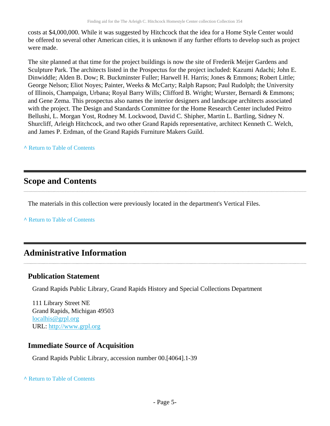costs at \$4,000,000. While it was suggested by Hitchcock that the idea for a Home Style Center would be offered to several other American cities, it is unknown if any further efforts to develop such as project were made.

The site planned at that time for the project buildings is now the site of Frederik Meijer Gardens and Sculpture Park. The architects listed in the Prospectus for the project included: Kazumi Adachi; John E. Dinwiddle; Alden B. Dow; R. Buckminster Fuller; Harwell H. Harris; Jones & Emmons; Robert Little; George Nelson; Eliot Noyes; Painter, Weeks & McCarty; Ralph Rapson; Paul Rudolph; the University of Illinois, Champaign, Urbana; Royal Barry Wills; Clifford B. Wright; Wurster, Bernardi & Emmons; and Gene Zema. This prospectus also names the interior designers and landscape architects associated with the project. The Design and Standards Committee for the Home Research Center included Peitro Bellushi, L. Morgan Yost, Rodney M. Lockwood, David C. Shipher, Martin L. Bartling, Sidney N. Shurcliff, Arleigh Hitchcock, and two other Grand Rapids representative, architect Kenneth C. Welch, and James P. Erdman, of the Grand Rapids Furniture Makers Guild.

#### **^** [Return to Table of Contents](#page-1-0)

### <span id="page-4-0"></span>**Scope and Contents**

The materials in this collection were previously located in the department's Vertical Files.

**^** [Return to Table of Contents](#page-1-0)

### <span id="page-4-1"></span>**Administrative Information**

#### **Publication Statement**

Grand Rapids Public Library, Grand Rapids History and Special Collections Department

111 Library Street NE Grand Rapids, Michigan 49503 [localhis@grpl.org](mailto:localhis@grpl.org) URL:<http://www.grpl.org>

#### **Immediate Source of Acquisition**

Grand Rapids Public Library, accession number 00.[4064].1-39

#### **^** [Return to Table of Contents](#page-1-0)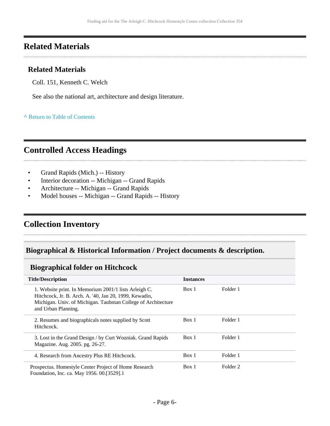### <span id="page-5-0"></span>**Related Materials**

#### **Related Materials**

Coll. 151, Kenneth C. Welch

See also the national art, architecture and design literature.

**^** [Return to Table of Contents](#page-1-0)

# <span id="page-5-1"></span>**Controlled Access Headings**

- Grand Rapids (Mich.) -- History
- Interior decoration -- Michigan -- Grand Rapids
- Architecture -- Michigan -- Grand Rapids
- Model houses -- Michigan -- Grand Rapids -- History

### <span id="page-5-2"></span>**Collection Inventory**

#### <span id="page-5-3"></span>**Biographical & Historical Information / Project documents & description.**

#### <span id="page-5-4"></span>**Biographical folder on Hitchcock**

| <b>Title/Description</b>                                                                                                                                                                               | <b>Instances</b> |          |  |
|--------------------------------------------------------------------------------------------------------------------------------------------------------------------------------------------------------|------------------|----------|--|
| 1. Website print. In Memorium 2001/1 lists Arleigh C.<br>Hitchcock, Jr. B. Arch. A. '40, Jan 20, 1999, Kewadin,<br>Michigan. Univ. of Michigan. Taubman College of Architecture<br>and Urban Planning. | Box 1            | Folder 1 |  |
| 2. Resumes and biographicals notes supplied by Scott<br>Hitchcock.                                                                                                                                     | Box 1            | Folder 1 |  |
| 3. Lost in the Grand Design / by Curt Wozniak. Grand Rapids<br>Magazine. Aug. 2005. pg. 26-27.                                                                                                         | Box 1            | Folder 1 |  |
| 4. Research from Ancestry Plus RE Hitchcock.                                                                                                                                                           | Box 1            | Folder 1 |  |
| Prospectus. Homestyle Center Project of Home Research<br>Foundation, Inc. ca. May 1956. 00.[3529].1                                                                                                    | Box 1            | Folder 2 |  |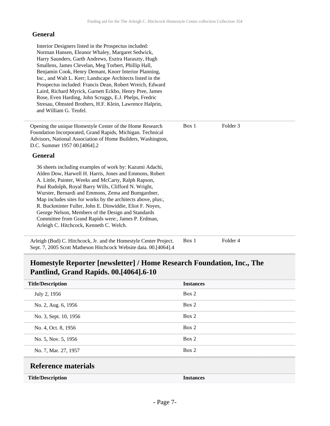#### **General**

Sept. 7, 2005 Scott Matheson Hitchcock Website data. 00.[4064].4

#### <span id="page-6-0"></span>**Homestyle Reporter [newsletter] / Home Research Foundation, Inc., The Pantlind, Grand Rapids. 00.[4064].6-10**

<span id="page-6-1"></span>

| <b>Title/Description</b>   | <b>Instances</b> |
|----------------------------|------------------|
| July 2, 1956               | Box 2            |
| No. 2, Aug. 6, 1956        | Box 2            |
| No. 3, Sept. 10, 1956      | Box 2            |
| No. 4, Oct. 8, 1956        | Box 2            |
| No. 5, Nov. 5, 1956        | Box 2            |
| No. 7, Mar. 27, 1957       | Box 2            |
| <b>Reference materials</b> |                  |
| <b>Title/Description</b>   | <b>Instances</b> |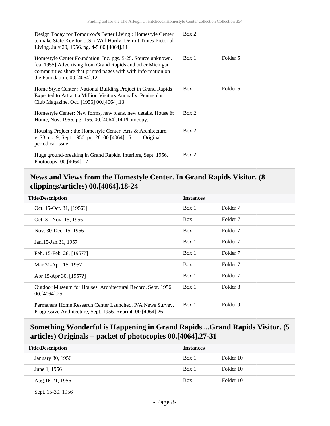| Design Today for Tomorrow's Better Living: Homestyle Center<br>to make State Key for U.S. / Will Hardy. Detroit Times Pictorial<br>Living, July 29, 1956. pg. 4-5 00.[4064].11                                               | Box 2 |          |
|------------------------------------------------------------------------------------------------------------------------------------------------------------------------------------------------------------------------------|-------|----------|
| Homestyle Center Foundation, Inc. pgs. 5-25. Source unknown.<br>[ca. 1955] Advertising from Grand Rapids and other Michigan<br>communities share that printed pages with with information on<br>the Foundation. 00.[4064].12 | Box 1 | Folder 5 |
| Home Style Center: National Building Project in Grand Rapids<br>Expected to Attract a Million Visitors Annually. Peninsular<br>Club Magazine. Oct. [1956] 00.[4064].13                                                       | Box 1 | Folder 6 |
| Homestyle Center: New forms, new plans, new details. House $\&$<br>Home, Nov. 1956, pg. 156. 00. [4064]. 14 Photocopy.                                                                                                       | Box 2 |          |
| Housing Project : the Homestyle Center. Arts & Architecture.<br>v. 73, no. 9, Sept. 1956, pg. 28. 00. [4064] 15 c. 1. Original<br>periodical issue                                                                           | Box 2 |          |
| Huge ground-breaking in Grand Rapids. Interiors, Sept. 1956.<br>Photocopy. 00.[4064].17                                                                                                                                      | Box 2 |          |

#### <span id="page-7-0"></span>**News and Views from the Homestyle Center. In Grand Rapids Visitor. (8 clippings/articles) 00.[4064].18-24**

| <b>Title/Description</b>                                                                                                 | <b>Instances</b> |                     |
|--------------------------------------------------------------------------------------------------------------------------|------------------|---------------------|
| Oct. 15-Oct. 31, [1956?]                                                                                                 | Box 1            | Folder <sub>7</sub> |
| Oct. 31-Nov. 15, 1956                                                                                                    | Box 1            | Folder <sub>7</sub> |
| Nov. 30-Dec. 15, 1956                                                                                                    | Box 1            | Folder <sub>7</sub> |
| Jan.15-Jan.31, 1957                                                                                                      | Box 1            | Folder <sub>7</sub> |
| Feb. 15-Feb. 28, [1957?]                                                                                                 | Box 1            | Folder <sub>7</sub> |
| Mar.31-Apr. 15, 1957                                                                                                     | Box 1            | Folder <sub>7</sub> |
| Apr 15-Apr 30, [1957?]                                                                                                   | Box 1            | Folder <sub>7</sub> |
| Outdoor Museum for Houses. Architectural Record. Sept. 1956<br>00.[4064].25                                              | Box 1            | Folder 8            |
| Permanent Home Research Center Launched. P/A News Survey.<br>Progressive Architecture, Sept. 1956. Reprint. 00.[4064].26 | Box 1            | Folder 9            |

### <span id="page-7-1"></span>**Something Wonderful is Happening in Grand Rapids ...Grand Rapids Visitor. (5 articles) Originals + packet of photocopies 00.[4064].27-31**

| <b>Title/Description</b> | <b>Instances</b> |           |
|--------------------------|------------------|-----------|
| January 30, 1956         | Box 1            | Folder 10 |
| June 1, 1956             | Box 1            | Folder 10 |
| Aug.16-21, 1956          | Box 1            | Folder 10 |

Sept. 15-30, 1956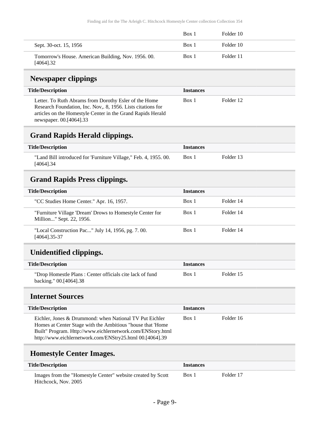|                                                                  | Box 1 | Folder 10 |  |
|------------------------------------------------------------------|-------|-----------|--|
| Sept. 30-oct. 15, 1956                                           | Box 1 | Folder 10 |  |
| Tomorrow's House. American Building, Nov. 1956. 00.<br>[4064].32 | Box 1 | Folder 11 |  |

# <span id="page-8-0"></span>**Newspaper clippings**

| <b>Title/Description</b>                                                                                                                                                                                        | <b>Instances</b> |           |
|-----------------------------------------------------------------------------------------------------------------------------------------------------------------------------------------------------------------|------------------|-----------|
| Letter. To Ruth Abrams from Dorothy Esler of the Home<br>Research Foundation, Inc. Nov., 8, 1956. Lists citations for<br>articles on the Homestyle Center in the Grand Rapids Herald<br>newspaper. 00.[4064].33 | Box 1            | Folder 12 |

#### <span id="page-8-1"></span>**Grand Rapids Herald clippings.**

| <b>Title/Description</b>                                                         | <i><u><b>Instances</b></u></i> |           |
|----------------------------------------------------------------------------------|--------------------------------|-----------|
| "Land Bill introduced for 'Furniture Village," Feb. 4, 1955. 00.<br>$[4064]$ .34 | Box 1                          | Folder 13 |

### <span id="page-8-2"></span>**Grand Rapids Press clippings.**

| <b>Title/Description</b>                                                             | <b>Instances</b> |           |
|--------------------------------------------------------------------------------------|------------------|-----------|
| "CC Studies Home Center." Apr. 16, 1957.                                             | Box 1            | Folder 14 |
| "Furniture Village 'Dream' Drows to Homestyle Center for<br>Million" Sept. 22, 1956. | Box 1            | Folder 14 |
| "Local Construction Pac" July 14, 1956, pg. 7.00.<br>[4064].35-37                    | Box 1            | Folder 14 |

# <span id="page-8-3"></span>**Unidentified clippings.**

| <b>Title/Description</b>                                                           | <i><u><b>Instances</b></u></i> |           |
|------------------------------------------------------------------------------------|--------------------------------|-----------|
| "Drop Homestle Plans: Center officials cite lack of fund<br>backing." 00.[4064].38 | Box 1                          | Folder 15 |

#### <span id="page-8-4"></span>**Internet Sources**

| <b>Title/Description</b>                                                                                                                                                                                                                         | <b>Instances</b> |           |
|--------------------------------------------------------------------------------------------------------------------------------------------------------------------------------------------------------------------------------------------------|------------------|-----------|
| Eichler, Jones & Drummond: when National TV Put Eichler<br>Homes at Center Stage with the Ambitious "house that 'Home"<br>Built" Program. Http://www.eichlernetwork.com/ENStory.html<br>http://www.eichlernetwork.com/ENStry25.html 00.[4064].39 | Box 1            | Folder 16 |

### <span id="page-8-5"></span>**Homestyle Center Images.**

| <b>Title/Description</b>                                                            | <b>Instances</b> |           |
|-------------------------------------------------------------------------------------|------------------|-----------|
| Images from the "Homestyle Center" website created by Scott<br>Hitchcock, Nov. 2005 | Box 1            | Folder 17 |